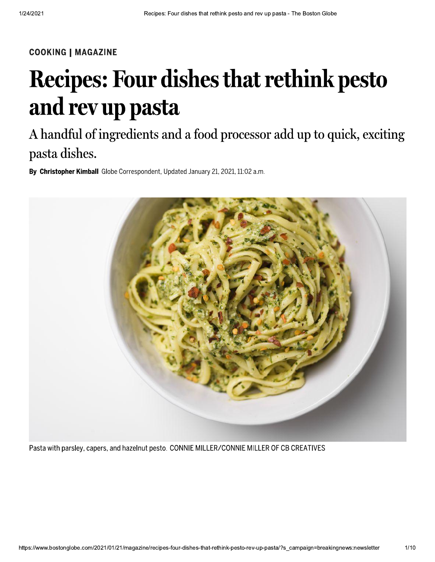#### **COOKING | MAGAZINE**

## **Recipes: Four dishes that rethink pesto** and rev up pasta

### A handful of ingredients and a food processor add up to quick, exciting pasta dishes.

By Christopher Kimball Globe Correspondent, Updated January 21, 2021, 11:02 a.m.



Pasta with parsley, capers, and hazelnut pesto. CONNIE MILLER/CONNIE MILLER OF CB CREATIVES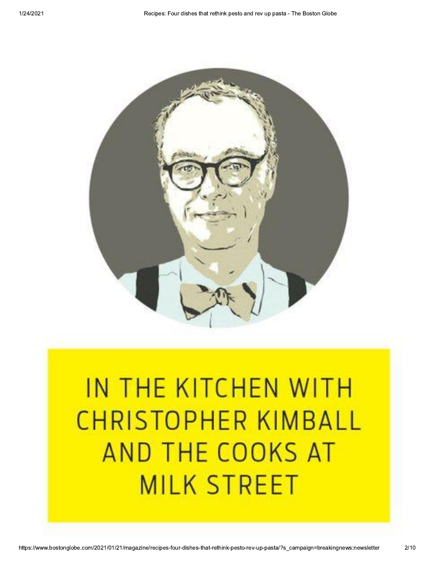

# IN THE KITCHEN WITH **CHRISTOPHER KIMBALL** AND THE COOKS AT **MILK STREET**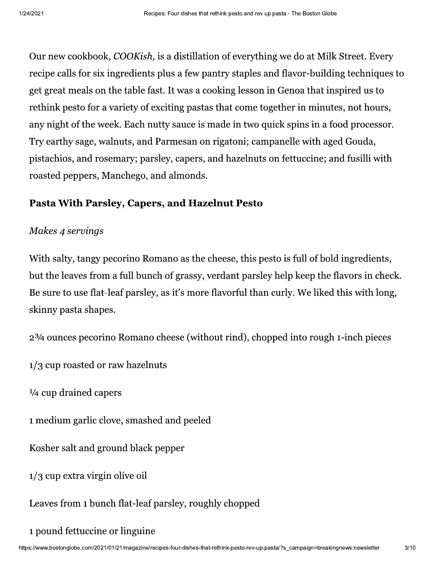Our new cookbook, COOKish, is a distillation of everything we do at Milk Street. Every recipe calls for six ingredients plus a few pantry staples and flavor-building techniques to get great meals on the table fast. It was a cooking lesson in Genoa that inspired us to rethink pesto for a variety of exciting pastas that come together in minutes, not hours, any night of the week. Each nutty sauce is made in two quick spins in a food processor. Try earthy sage, walnuts, and Parmesan on rigatoni; campanelle with aged Gouda, pistachios, and rosemary; parsley, capers, and hazelnuts on fettuccine; and fusilli with roasted peppers, Manchego, and almonds.

#### Pasta With Parsley, Capers, and Hazelnut Pesto

#### Makes 4 servings

With salty, tangy pecorino Romano as the cheese, this pesto is full of bold ingredients, but the leaves from a full bunch of grassy, verdant parsley help keep the flavors in check. Be sure to use flat-leaf parsley, as it's more flavorful than curly. We liked this with long, skinny pasta shapes.

2<sup>3</sup>/4 ounces pecorino Romano cheese (without rind), chopped into rough 1-inch pieces

1/3 cup roasted or raw hazelnuts

1/4 cup drained capers

1 medium garlic clove, smashed and peeled

Kosher salt and ground black pepper

 $1/3$  cup extra virgin olive oil

Leaves from 1 bunch flat-leaf parsley, roughly chopped

1 pound fettuccine or linguine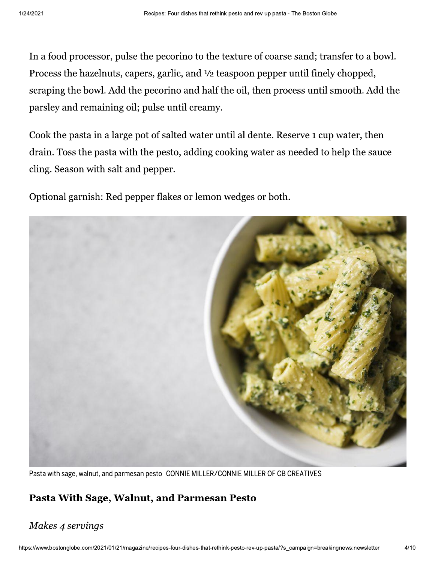In a food processor, pulse the pecorino to the texture of coarse sand; transfer to a bowl. Process the hazelnuts, capers, garlic, and  $\frac{1}{2}$  teaspoon pepper until finely chopped, scraping the bowl. Add the pecorino and half the oil, then process until smooth. Add the parsley and remaining oil; pulse until creamy.

Cook the pasta in a large pot of salted water until al dente. Reserve 1 cup water, then drain. Toss the pasta with the pesto, adding cooking water as needed to help the sauce cling. Season with salt and pepper.

Optional garnish: Red pepper flakes or lemon wedges or both.



Pasta with sage, walnut, and parmesan pesto. CONNIE MILLER/CONNIE MILLER OF CB CREATIVES

#### Pasta With Sage, Walnut, and Parmesan Pesto

#### Makes 4 servings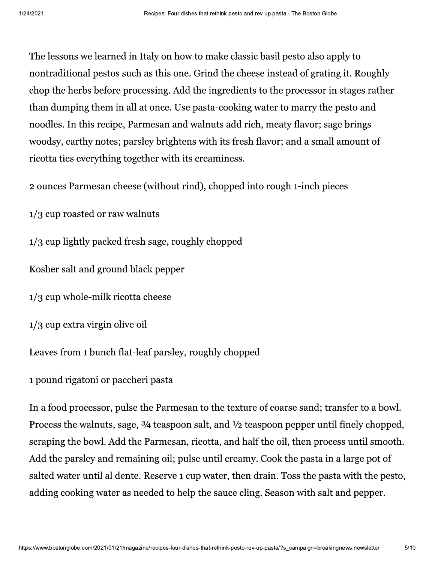The lessons we learned in Italy on how to make classic basil pesto also apply to nontraditional pestos such as this one. Grind the cheese instead of grating it. Roughly chop the herbs before processing. Add the ingredients to the processor in stages rather than dumping them in all at once. Use pasta-cooking water to marry the pesto and noodles. In this recipe, Parmesan and walnuts add rich, meaty flavor; sage brings woodsy, earthy notes; parsley brightens with its fresh flavor; and a small amount of ricotta ties everything together with its creaminess.

2 ounces Parmesan cheese (without rind), chopped into rough 1-inch pieces

1/3 cup roasted or raw walnuts

1/3 cup lightly packed fresh sage, roughly chopped

Kosher salt and ground black pepper

 $1/3$  cup whole-milk ricotta cheese

 $1/3$  cup extra virgin olive oil

Leaves from 1 bunch flat-leaf parsley, roughly chopped

1 pound rigatoni or paccheri pasta

In a food processor, pulse the Parmesan to the texture of coarse sand; transfer to a bowl. Process the walnuts, sage, 3/4 teaspoon salt, and 1/2 teaspoon pepper until finely chopped, scraping the bowl. Add the Parmesan, ricotta, and half the oil, then process until smooth. Add the parsley and remaining oil; pulse until creamy. Cook the pasta in a large pot of salted water until al dente. Reserve 1 cup water, then drain. Toss the pasta with the pesto, adding cooking water as needed to help the sauce cling. Season with salt and pepper.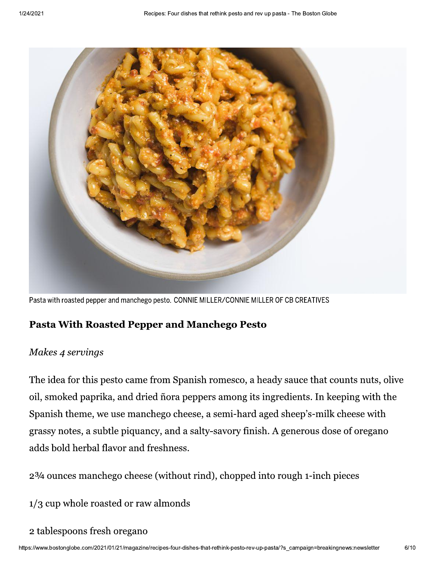

Pasta with roasted pepper and manchego pesto. CONNIE MILLER/CONNIE MILLER OF CB CREATIVES

#### **Pasta With Roasted Pepper and Manchego Pesto**

#### Makes 4 servings

The idea for this pesto came from Spanish romesco, a heady sauce that counts nuts, olive oil, smoked paprika, and dried ñora peppers among its ingredients. In keeping with the Spanish theme, we use manchego cheese, a semi-hard aged sheep's-milk cheese with grassy notes, a subtle piquancy, and a salty-savory finish. A generous dose of oregano adds bold herbal flavor and freshness.

2<sup>3</sup>/4 ounces manchego cheese (without rind), chopped into rough 1-inch pieces

1/3 cup whole roasted or raw almonds

#### 2 tablespoons fresh oregano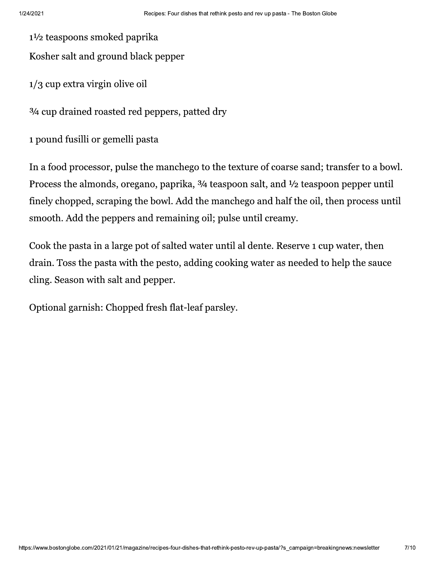$1\frac{1}{2}$  teaspoons smoked paprika

Kosher salt and ground black pepper

 $1/3$  cup extra virgin olive oil

3/4 cup drained roasted red peppers, patted dry

1 pound fusilli or gemelli pasta

In a food processor, pulse the manchego to the texture of coarse sand; transfer to a bowl. Process the almonds, oregano, paprika,  $\frac{3}{4}$  teaspoon salt, and  $\frac{1}{2}$  teaspoon pepper until finely chopped, scraping the bowl. Add the manchego and half the oil, then process until smooth. Add the peppers and remaining oil; pulse until creamy.

Cook the pasta in a large pot of salted water until al dente. Reserve 1 cup water, then drain. Toss the pasta with the pesto, adding cooking water as needed to help the sauce cling. Season with salt and pepper.

Optional garnish: Chopped fresh flat-leaf parsley.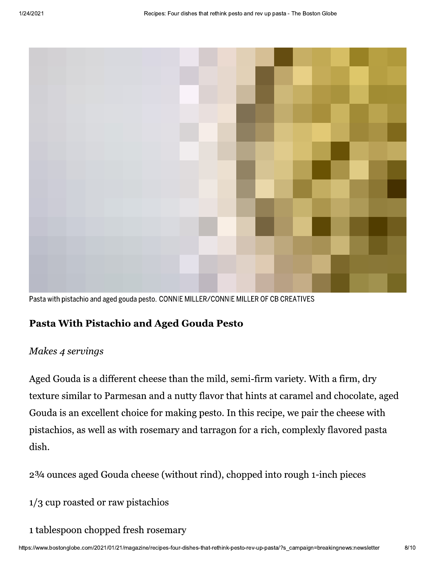

Pasta with pistachio and aged gouda pesto. CONNIE MILLER/CONNIE MILLER OF CB CREATIVES

#### Pasta With Pistachio and Aged Gouda Pesto

#### Makes 4 servings

Aged Gouda is a different cheese than the mild, semi-firm variety. With a firm, dry texture similar to Parmesan and a nutty flavor that hints at caramel and chocolate, aged Gouda is an excellent choice for making pesto. In this recipe, we pair the cheese with pistachios, as well as with rosemary and tarragon for a rich, complexly flavored pasta dish.

2<sup>3</sup>/4 ounces aged Gouda cheese (without rind), chopped into rough 1-inch pieces

- 1/3 cup roasted or raw pistachios
- 1 tablespoon chopped fresh rosemary